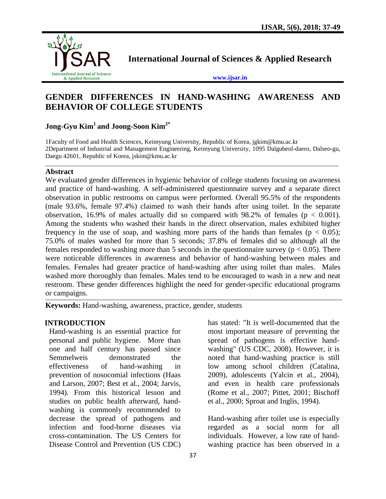

**International Journal of Sciences & Applied Research**

**[www.ijsar.in](http://www.ijsar.in/)**

# **GENDER DIFFERENCES IN HAND-WASHING AWARENESS AND BEHAVIOR OF COLLEGE STUDENTS**

## **Jong-Gyu Kim<sup>1</sup> and Joong-Soon Kim2\***

1Faculty of Food and Health Sciences, Keimyung University, Republic of Korea, [jgkim@kmu.ac.kr](mailto:jgkim@kmu.ac.kr) 2Department of Industrial and Management Engineering, Keimyung University, 1095 Dalgubeol-daero, Dalseo-gu, Daegu 42601, Republic of Korea, [jskim@kmu.ac.kr](mailto:jskim@kmu.ac.kr)

 $\overline{a_1}$  ,  $\overline{a_2}$  ,  $\overline{a_3}$  ,  $\overline{a_4}$  ,  $\overline{a_5}$  ,  $\overline{a_6}$  ,  $\overline{a_7}$  ,  $\overline{a_8}$  ,  $\overline{a_9}$  ,  $\overline{a_9}$  ,  $\overline{a_9}$  ,  $\overline{a_9}$  ,  $\overline{a_9}$  ,  $\overline{a_9}$  ,  $\overline{a_9}$  ,  $\overline{a_9}$  ,  $\overline{a_9}$  ,

#### **Abstract**

We evaluated gender differences in hygienic behavior of college students focusing on awareness and practice of hand-washing. A self-administered questionnaire survey and a separate direct observation in public restrooms on campus were performed. Overall 95.5% of the respondents (male 93.6%, female 97.4%) claimed to wash their hands after using toilet. In the separate observation, 16.9% of males actually did so compared with 98.2% of females ( $p < 0.001$ ). Among the students who washed their hands in the direct observation, males exhibited higher frequency in the use of soap, and washing more parts of the hands than females ( $p < 0.05$ ); 75.0% of males washed for more than 5 seconds; 37.8% of females did so although all the females responded to washing more than 5 seconds in the questionnaire survey ( $p < 0.05$ ). There were noticeable differences in awareness and behavior of hand-washing between males and females. Females had greater practice of hand-washing after using toilet than males. Males washed more thoroughly than females. Males tend to be encouraged to wash in a new and neat restroom. These gender differences highlight the need for gender-specific educational programs or campaigns.

**Keywords:** Hand-washing, awareness, practice, gender, students

#### **INTRODUCTION**

Hand-washing is an essential practice for personal and public hygiene. More than one and half century has passed since Semmelweis demonstrated the effectiveness of hand-washing in prevention of nosocomial infections (Haas and Larson, 2007; Best et al., 2004; Jarvis, 1994). From this historical lesson and studies on public health afterward, handwashing is commonly recommended to decrease the spread of pathogens and infection and food-borne diseases via cross-contamination. The US Centers for Disease Control and Prevention (US CDC) has stated: "It is well-documented that the most important measure of preventing the spread of pathogens is effective handwashing" (US CDC, 2008). However, it is noted that hand-washing practice is still low among school children (Catalina, 2009), adolescents (Yalcin et al., 2004), and even in health care professionals (Rome et al., 2007; Pittet, 2001; Bischoff et al., 2000; Sproat and Inglis, 1994).

Hand-washing after toilet use is especially regarded as a social norm for all individuals. However, a low rate of handwashing practice has been observed in a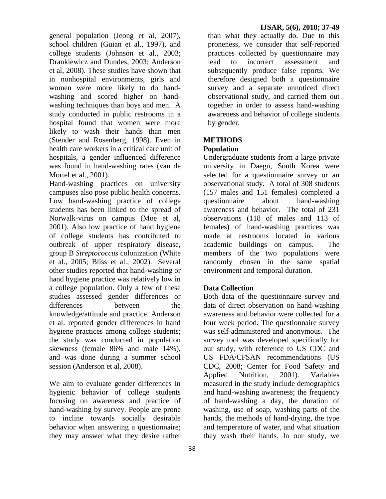general population (Jeong et al, 2007), school children (Guian et al., 1997), and college students (Johnson et al., 2003; Drankiewicz and Dundes, 2003; Anderson et al, 2008). These studies have shown that in nonhospital environments, girls and women were more likely to do handwashing and scored higher on handwashing techniques than boys and men. A study conducted in public restrooms in a hospital found that women were more likely to wash their hands than men (Stender and Rosenberg, 1998). Even in health care workers in a critical care unit of hospitals, a gender influenced difference was found in hand-washing rates (van de Mortel et al., 2001).

Hand-washing practices on university campuses also pose public health concerns. Low hand-washing practice of college students has been linked to the spread of Norwalk-virus on campus (Moe et al, 2001). Also low practice of hand hygiene of college students has contributed to outbreak of upper respiratory disease, group B *Streptococcus* colonization (White et al., 2005; Bliss et al., 2002). Several other studies reported that hand-washing or hand hygiene practice was relatively low in a college population. Only a few of these studies assessed gender differences or differences between the knowledge/attitude and practice. Anderson et al. reported gender differences in hand hygiene practices among college students; the study was conducted in population skewness (female 86% and male 14%), and was done during a summer school session (Anderson et al, 2008).

We aim to evaluate gender differences in hygienic behavior of college students focusing on awareness and practice of hand-washing by survey. People are prone to incline towards socially desirable behavior when answering a questionnaire; they may answer what they desire rather

than what they actually do. Due to this proneness, we consider that self-reported practices collected by questionnaire may lead to incorrect assessment and subsequently produce false reports. We therefore designed both a questionnaire survey and a separate unnoticed direct observational study, and carried them out together in order to assess hand-washing awareness and behavior of college students by gender.

### **METHODS**

#### **Population**

Undergraduate students from a large private university in Daegu, South Korea were selected for a questionnaire survey or an observational study. A total of 308 students (157 males and 151 females) completed a questionnaire about hand-washing awareness and behavior. The total of 231 observations (118 of males and 113 of females) of hand-washing practices was made at restrooms located in various academic buildings on campus. The members of the two populations were randomly chosen in the same spatial environment and temporal duration.

#### **Data Collection**

Both data of the questionnaire survey and data of direct observation on hand-washing awareness and behavior were collected for a four week period. The questionnaire survey was self-administered and anonymous. The survey tool was developed specifically for our study, with reference to US CDC and US FDA/CFSAN recommendations (US CDC, 2008; Center for Food Safety and Applied Nutrition, 2001). Variables measured in the study include demographics and hand-washing awareness; the frequency of hand-washing a day, the duration of washing, use of soap, washing parts of the hands, the methods of hand-drying, the type and temperature of water, and what situation they wash their hands. In our study, we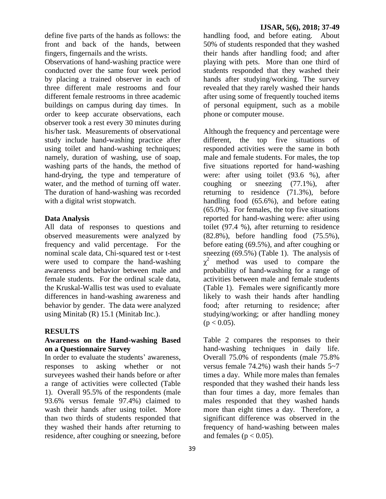define five parts of the hands as follows: the front and back of the hands, between fingers, fingernails and the wrists.

Observations of hand-washing practice were conducted over the same four week period by placing a trained observer in each of three different male restrooms and four different female restrooms in three academic buildings on campus during day times. In order to keep accurate observations, each observer took a rest every 30 minutes during his/her task. Measurements of observational study include hand-washing practice after using toilet and hand-washing techniques; namely, duration of washing, use of soap, washing parts of the hands, the method of hand-drying, the type and temperature of water, and the method of turning off water. The duration of hand-washing was recorded with a digital wrist stopwatch.

#### **Data Analysis**

All data of responses to questions and observed measurements were analyzed by frequency and valid percentage. For the nominal scale data, Chi-squared test or t-test were used to compare the hand-washing awareness and behavior between male and female students. For the ordinal scale data, the Kruskal-Wallis test was used to evaluate differences in hand-washing awareness and behavior by gender. The data were analyzed using Minitab (R) 15.1 (Minitab Inc.).

#### **RESULTS**

#### **Awareness on the Hand-washing Based on a Questionnaire Survey**

In order to evaluate the students' awareness, responses to asking whether or not surveyees washed their hands before or after a range of activities were collected (Table 1). Overall 95.5% of the respondents (male 93.6% versus female 97.4%) claimed to wash their hands after using toilet. More than two thirds of students responded that they washed their hands after returning to residence, after coughing or sneezing, before

handling food, and before eating. About 50% of students responded that they washed their hands after handling food; and after playing with pets. More than one third of students responded that they washed their hands after studying/working. The survey revealed that they rarely washed their hands after using some of frequently touched items of personal equipment, such as a mobile phone or computer mouse.

Although the frequency and percentage were different, the top five situations of responded activities were the same in both male and female students. For males, the top five situations reported for hand-washing were: after using toilet (93.6 %), after coughing or sneezing (77.1%), after returning to residence (71.3%), before handling food (65.6%), and before eating (65.0%). For females, the top five situations reported for hand-washing were: after using toilet (97.4 %), after returning to residence (82.8%), before handling food (75.5%), before eating (69.5%), and after coughing or sneezing (69.5%) (Table 1). The analysis of  $\chi^2$  method was used to compare the probability of hand-washing for a range of activities between male and female students (Table 1). Females were significantly more likely to wash their hands after handling food; after returning to residence; after studying/working; or after handling money  $(p < 0.05)$ .

Table 2 compares the responses to their hand-washing techniques in daily life. Overall 75.0% of respondents (male 75.8% versus female 74.2%) wash their hands 5~7 times a day. While more males than females responded that they washed their hands less than four times a day, more females than males responded that they washed hands more than eight times a day. Therefore, a significant difference was observed in the frequency of hand-washing between males and females ( $p < 0.05$ ).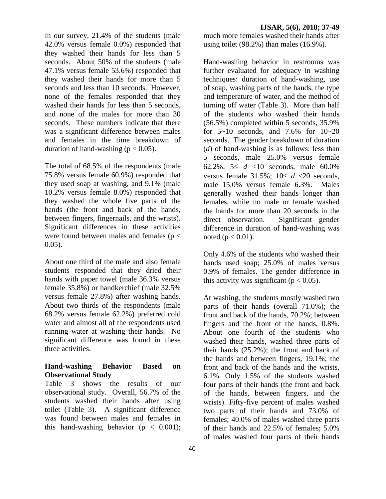In our survey, 21.4% of the students (male 42.0% versus female 0.0%) responded that they washed their hands for less than 5 seconds. About 50% of the students (male 47.1% versus female 53.6%) responded that they washed their hands for more than 5 seconds and less than 10 seconds. However, none of the females responded that they washed their hands for less than 5 seconds. and none of the males for more than 30 seconds. These numbers indicate that there was a significant difference between males and females in the time breakdown of duration of hand-washing ( $p < 0.05$ ).

The total of 68.5% of the respondents (male 75.8% versus female 60.9%) responded that they used soap at washing, and 9.1% (male 10.2% versus female 8.0%) responded that they washed the whole five parts of the hands (the front and back of the hands, between fingers, fingernails, and the wrists). Significant differences in these activities were found between males and females ( $p <$  $0.05$ ).

About one third of the male and also female students responded that they dried their hands with paper towel (male 36.3% versus female 35.8%) or handkerchief (male 32.5% versus female 27.8%) after washing hands. About two thirds of the respondents (male 68.2% versus female 62.2%) preferred cold water and almost all of the respondents used running water at washing their hands. No significant difference was found in these three activities.

### **Hand-washing Behavior Based on Observational Study**

Table 3 shows the results of our observational study. Overall, 56.7% of the students washed their hands after using toilet (Table 3). A significant difference was found between males and females in this hand-washing behavior ( $p < 0.001$ );

much more females washed their hands after using toilet (98.2%) than males (16.9%).

Hand-washing behavior in restrooms was further evaluated for adequacy in washing techniques: duration of hand-washing, use of soap, washing parts of the hands, the type and temperature of water, and the method of turning off water (Table 3). More than half of the students who washed their hands (56.5%) completed within 5 seconds, 35.9% for  $5~10$  seconds, and  $7.6\%$  for  $10~20$ seconds. The gender breakdown of duration (*d*) of hand-washing is as follows: less than 5 seconds, male 25.0% versus female 62.2%;  $5 \le d$  <10 seconds, male 60.0% versus female  $31.5\%$ ;  $10 \le d < 20$  seconds, male 15.0% versus female 6.3%. Males generally washed their hands longer than females, while no male or female washed the hands for more than 20 seconds in the direct observation. Significant gender difference in duration of hand-washing was noted ( $p < 0.01$ ).

Only 4.6% of the students who washed their hands used soap; 25.0% of males versus 0.9% of females. The gender difference in this activity was significant ( $p < 0.05$ ).

At washing, the students mostly washed two parts of their hands (overall 71.0%); the front and back of the hands, 70.2%; between fingers and the front of the hands, 0.8%. About one fourth of the students who washed their hands, washed three parts of their hands (25.2%); the front and back of the hands and between fingers, 19.1%; the front and back of the hands and the wrists, 6.1%. Only 1.5% of the students washed four parts of their hands (the front and back of the hands, between fingers, and the wrists). Fifty-five percent of males washed two parts of their hands and 73.0% of females; 40.0% of males washed three parts of their hands and 22.5% of females; 5.0% of males washed four parts of their hands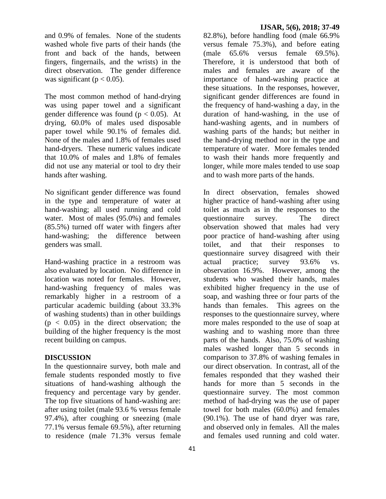and 0.9% of females. None of the students washed whole five parts of their hands (the front and back of the hands, between fingers, fingernails, and the wrists) in the direct observation. The gender difference was significant ( $p < 0.05$ ).

The most common method of hand-drying was using paper towel and a significant gender difference was found ( $p < 0.05$ ). At drying, 60.0% of males used disposable paper towel while 90.1% of females did. None of the males and 1.8% of females used hand-dryers. These numeric values indicate that 10.0% of males and 1.8% of females did not use any material or tool to dry their hands after washing.

No significant gender difference was found in the type and temperature of water at hand-washing; all used running and cold water. Most of males (95.0%) and females (85.5%) turned off water with fingers after hand-washing; the difference between genders was small.

Hand-washing practice in a restroom was also evaluated by location. No difference in location was noted for females. However, hand-washing frequency of males was remarkably higher in a restroom of a particular academic building (about 33.3% of washing students) than in other buildings  $(p < 0.05)$  in the direct observation; the building of the higher frequency is the most recent building on campus.

#### **DISCUSSION**

In the questionnaire survey, both male and female students responded mostly to five situations of hand-washing although the frequency and percentage vary by gender. The top five situations of hand-washing are: after using toilet (male 93.6 % versus female 97.4%), after coughing or sneezing (male 77.1% versus female 69.5%), after returning to residence (male 71.3% versus female

#### **IJSAR, 5(6), 2018; 37-49**

82.8%), before handling food (male 66.9% versus female 75.3%), and before eating (male 65.6% versus female 69.5%). Therefore, it is understood that both of males and females are aware of the importance of hand-washing practice at these situations. In the responses, however, significant gender differences are found in the frequency of hand-washing a day, in the duration of hand-washing, in the use of hand-washing agents, and in numbers of washing parts of the hands; but neither in the hand-drying method nor in the type and temperature of water. More females tended to wash their hands more frequently and longer, while more males tended to use soap and to wash more parts of the hands.

In direct observation, females showed higher practice of hand-washing after using toilet as much as in the responses to the questionnaire survey. The direct observation showed that males had very poor practice of hand-washing after using toilet, and that their responses to questionnaire survey disagreed with their actual practice; survey 93.6% vs. observation 16.9%. However, among the students who washed their hands, males exhibited higher frequency in the use of soap, and washing three or four parts of the hands than females. This agrees on the responses to the questionnaire survey, where more males responded to the use of soap at washing and to washing more than three parts of the hands. Also, 75.0% of washing males washed longer than 5 seconds in comparison to 37.8% of washing females in our direct observation. In contrast, all of the females responded that they washed their hands for more than 5 seconds in the questionnaire survey. The most common method of had-drying was the use of paper towel for both males (60.0%) and females (90.1%). The use of hand dryer was rare, and observed only in females. All the males and females used running and cold water.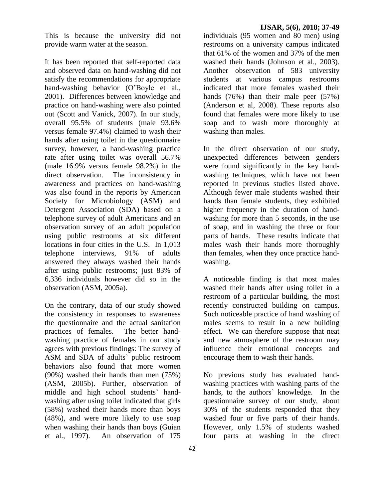This is because the university did not provide warm water at the season.

It has been reported that self-reported data and observed data on hand-washing did not satisfy the recommendations for appropriate hand-washing behavior (O'Boyle et al., 2001). Differences between knowledge and practice on hand-washing were also pointed out (Scott and Vanick, 2007). In our study, overall 95.5% of students (male 93.6% versus female 97.4%) claimed to wash their hands after using toilet in the questionnaire survey, however, a hand-washing practice rate after using toilet was overall 56.7% (male 16.9% versus female 98.2%) in the direct observation. The inconsistency in awareness and practices on hand-washing was also found in the reports by American Society for Microbiology (ASM) and Detergent Association (SDA) based on a telephone survey of adult Americans and an observation survey of an adult population using public restrooms at six different locations in four cities in the U.S. In 1,013 telephone interviews, 91% of adults answered they always washed their hands after using public restrooms; just 83% of 6,336 individuals however did so in the observation (ASM, 2005a).

On the contrary, data of our study showed the consistency in responses to awareness the questionnaire and the actual sanitation practices of females. The better handwashing practice of females in our study agrees with previous findings: The survey of ASM and SDA of adults' public restroom behaviors also found that more women (90%) washed their hands than men (75%) (ASM, 2005b). Further, observation of middle and high school students' handwashing after using toilet indicated that girls (58%) washed their hands more than boys (48%), and were more likely to use soap when washing their hands than boys (Guian et al., 1997). An observation of 175

individuals (95 women and 80 men) using restrooms on a university campus indicated that 61% of the women and 37% of the men washed their hands (Johnson et al., 2003). Another observation of 583 university students at various campus restrooms indicated that more females washed their hands (76%) than their male peer (57%) (Anderson et al, 2008). These reports also found that females were more likely to use soap and to wash more thoroughly at washing than males.

In the direct observation of our study, unexpected differences between genders were found significantly in the key handwashing techniques, which have not been reported in previous studies listed above. Although fewer male students washed their hands than female students, they exhibited higher frequency in the duration of handwashing for more than 5 seconds, in the use of soap, and in washing the three or four parts of hands. These results indicate that males wash their hands more thoroughly than females, when they once practice handwashing.

A noticeable finding is that most males washed their hands after using toilet in a restroom of a particular building, the most recently constructed building on campus. Such noticeable practice of hand washing of males seems to result in a new building effect. We can therefore suppose that neat and new atmosphere of the restroom may influence their emotional concepts and encourage them to wash their hands.

No previous study has evaluated handwashing practices with washing parts of the hands, to the authors' knowledge. In the questionnaire survey of our study, about 30% of the students responded that they washed four or five parts of their hands. However, only 1.5% of students washed four parts at washing in the direct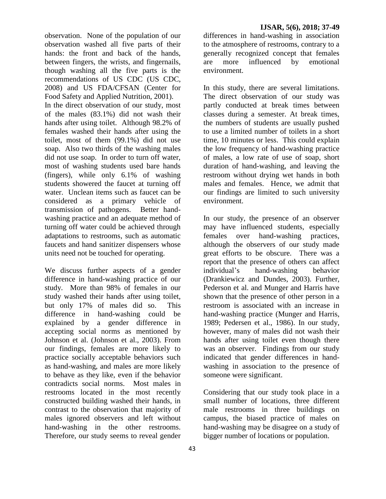observation. None of the population of our observation washed all five parts of their hands: the front and back of the hands, between fingers, the wrists, and fingernails, though washing all the five parts is the recommendations of US CDC (US CDC, 2008) and US FDA/CFSAN (Center for Food Safety and Applied Nutrition, 2001).

In the direct observation of our study, most of the males (83.1%) did not wash their hands after using toilet. Although 98.2% of females washed their hands after using the toilet, most of them (99.1%) did not use soap. Also two thirds of the washing males did not use soap. In order to turn off water, most of washing students used bare hands (fingers), while only 6.1% of washing students showered the faucet at turning off water. Unclean items such as faucet can be considered as a primary vehicle of transmission of pathogens. Better handwashing practice and an adequate method of turning off water could be achieved through adaptations to restrooms, such as automatic faucets and hand sanitizer dispensers whose units need not be touched for operating.

We discuss further aspects of a gender difference in hand-washing practice of our study. More than 98% of females in our study washed their hands after using toilet, but only 17% of males did so. This difference in hand-washing could be explained by a gender difference in accepting social norms as mentioned by Johnson et al. (Johnson et al., 2003). From our findings, females are more likely to practice socially acceptable behaviors such as hand-washing, and males are more likely to behave as they like, even if the behavior contradicts social norms. Most males in restrooms located in the most recently constructed building washed their hands, in contrast to the observation that majority of males ignored observers and left without hand-washing in the other restrooms. Therefore, our study seems to reveal gender

differences in hand-washing in association to the atmosphere of restrooms, contrary to a generally recognized concept that females are more influenced by emotional environment.

In this study, there are several limitations. The direct observation of our study was partly conducted at break times between classes during a semester. At break times, the numbers of students are usually pushed to use a limited number of toilets in a short time, 10 minutes or less. This could explain the low frequency of hand-washing practice of males, a low rate of use of soap, short duration of hand-washing, and leaving the restroom without drying wet hands in both males and females. Hence, we admit that our findings are limited to such university environment.

In our study, the presence of an observer may have influenced students, especially females over hand-washing practices, although the observers of our study made great efforts to be obscure. There was a report that the presence of others can affect individual's hand-washing behavior (Drankiewicz and Dundes, 2003). Further, Pederson et al. and Munger and Harris have shown that the presence of other person in a restroom is associated with an increase in hand-washing practice (Munger and Harris, 1989; Pedersen et al., 1986). In our study, however, many of males did not wash their hands after using toilet even though there was an observer. Findings from our study indicated that gender differences in handwashing in association to the presence of someone were significant.

Considering that our study took place in a small number of locations, three different male restrooms in three buildings on campus, the biased practice of males on hand-washing may be disagree on a study of bigger number of locations or population.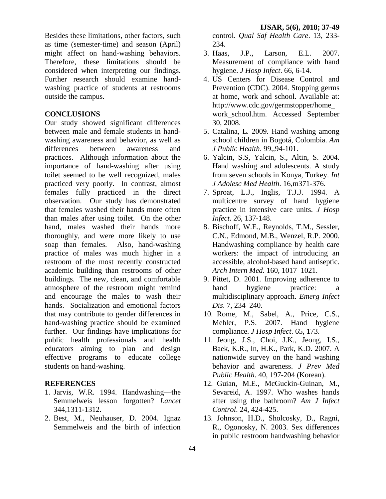Besides these limitations, other factors, such as time (semester-time) and season (April) might affect on hand-washing behaviors. Therefore, these limitations should be considered when interpreting our findings. Further research should examine handwashing practice of students at restrooms outside the campus.

### **CONCLUSIONS**

Our study showed significant differences between male and female students in handwashing awareness and behavior, as well as differences between awareness and practices. Although information about the importance of hand-washing after using toilet seemed to be well recognized, males practiced very poorly. In contrast, almost females fully practiced in the direct observation. Our study has demonstrated that females washed their hands more often than males after using toilet. On the other hand, males washed their hands more thoroughly, and were more likely to use soap than females. Also, hand-washing practice of males was much higher in a restroom of the most recently constructed academic building than restrooms of other buildings. The new, clean, and comfortable atmosphere of the restroom might remind and encourage the males to wash their hands. Socialization and emotional factors that may contribute to gender differences in hand-washing practice should be examined further. Our findings have implications for public health professionals and health educators aiming to plan and design effective programs to educate college students on hand-washing.

#### **REFERENCES**

- 1. Jarvis, W.R. 1994. Handwashing—the Semmelweis lesson forgotten? *Lancet* 344,1311-1312.
- 2. Best, M., Neuhauser, D. 2004. Ignaz Semmelweis and the birth of infection

control. *Qual Saf Health Care*. 13, 233- 234.

- 3. Haas, J.P., Larson, E.L. 2007. Measurement of compliance with hand hygiene. *J Hosp Infect*. 66, 6-14.
- 4. US Centers for Disease Control and Prevention (CDC). 2004. Stopping germs at home, work and school. Available at: http://www.cdc.gov/germstopper/home\_ work\_school.htm. Accessed September 30, 2008.
- 5. Catalina, L. 2009. Hand washing among school children in Bogotá, Colombia. *Am J Public Health*. 99,,94-101.
- 6. Yalcin, S.S, Yalcin, S., Altin, S. 2004. Hand washing and adolescents. A study from seven schools in Konya, Turkey. *Int J Adolesc Med Health*. 16,m371-376.
- 7. Sproat, L.J., Inglis, T.J.J. 1994. A multicentre survey of hand hygiene practice in intensive care units. *J Hosp Infect*. 26, 137-148.
- 8. Bischoff, W.E., Reynolds, T.M., Sessler, C.N., Edmond, M.B., Wenzel, R.P. 2000. Handwashing compliance by health care workers: the impact of introducing an accessible, alcohol-based hand antiseptic. *Arch Intern Med*. 160, 1017–1021.
- 9. Pittet, D. 2001. Improving adherence to hand hygiene practice: a multidisciplinary approach. *Emerg Infect Dis*. 7, 234–240.
- 10. Rome, M., Sabel, A., Price, C.S., Mehler, P.S. 2007. Hand hygiene compliance. *J Hosp Infect*. 65, 173.
- 11. Jeong, J.S., Choi, J.K., Jeong, I.S., Baek, K.R., In, H.K., Park, K.D. 2007. A nationwide survey on the hand washing behavior and awareness. *J Prev Med Public Health*. 40, 197-204 (Korean).
- 12. Guian, M.E., McGuckin-Guinan, M., Sevareid, A. 1997. Who washes hands after using the bathroom? *Am J Infect Control*. 24, 424-425.
- 13. Johnson, H.D., Sholcosky, D., Ragni, R., Ogonosky, N. 2003. Sex differences in public restroom handwashing behavior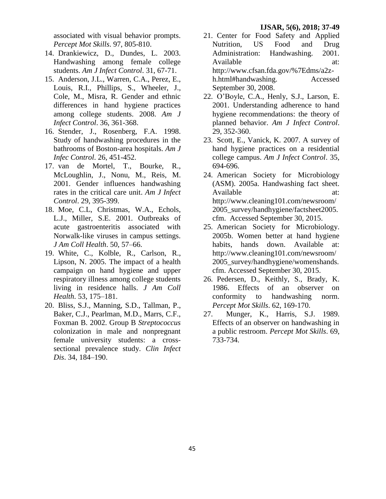associated with visual behavior prompts. *Percept Mot Skills*. 97, 805-810.

- 14. Drankiewicz, D., Dundes, L. 2003. Handwashing among female college students. *Am J Infect Control*. 31, 67-71.
- 15. Anderson, J.L., Warren, C.A., Perez, E., Louis, R.I., Phillips, S., Wheeler, J., Cole, M., Misra, R. Gender and ethnic differences in hand hygiene practices among college students. 2008. *Am J Infect Control*. 36, 361-368.
- 16. Stender, J., Rosenberg, F.A. 1998. Study of handwashing procedures in the bathrooms of Boston-area hospitals. *Am J Infec Control*. 26, 451-452.
- 17. van de Mortel, T., Bourke, R., McLoughlin, J., Nonu, M., Reis, M. 2001. Gender influences handwashing rates in the critical care unit. *Am J Infect Control*. 29, 395-399.
- 18. Moe, C.L, Christmas, W.A., Echols, L.J., Miller, S.E. 2001. Outbreaks of acute gastroenteritis associated with Norwalk-like viruses in campus settings. *J Am Coll Health*. 50, 57–66.
- 19. White, C., Kolble, R., Carlson, R., Lipson, N. 2005. The impact of a health campaign on hand hygiene and upper respiratory illness among college students living in residence halls. *J Am Coll Health*. 53, 175–181.
- 20. Bliss, S.J., Manning, S.D., Tallman, P., Baker, C.J., Pearlman, M.D., Marrs, C.F., Foxman B. 2002. Group B *Streptococcus* colonization in male and nonpregnant female university students: a crosssectional prevalence study. *Clin Infect Dis*. 34, 184–190.
- 21. Center for Food Safety and Applied Nutrition, US Food and Drug Administration: Handwashing. 2001. Available at: http://www.cfsan.fda.gov/%7Edms/a2zh.html#handwashing. Accessed September 30, 2008.
- 22. O'Boyle, C.A., Henly, S.J., Larson, E. 2001. Understanding adherence to hand hygiene recommendations: the theory of planned behavior. *Am J Infect Control*. 29, 352-360.
- 23. Scott, E., Vanick, K. 2007. A survey of hand hygiene practices on a residential college campus. *Am J Infect Control*. 35, 694-696.
- 24. American Society for Microbiology (ASM). 2005a. Handwashing fact sheet. Available at: [http://www.cleaning101.com/newsroom/](http://www.cleaning101.com/newsroom/2005_survey/handhygiene/factsheet2005.cfm) [2005\\_survey/handhygiene/factsheet2005.](http://www.cleaning101.com/newsroom/2005_survey/handhygiene/factsheet2005.cfm) [cfm.](http://www.cleaning101.com/newsroom/2005_survey/handhygiene/factsheet2005.cfm) Accessed September 30, 2015.
- 25. American Society for Microbiology. 2005b. Women better at hand hygiene habits, hands down. Available at: [http://www.cleaning101.com/newsroom/](http://www.sciencedirect.com/science?_ob=RedirectURL&_method=externObjLink&_locator=url&_cdi=6686&_plusSign=%2B&_targetURL=http%253A%252F%252Fwww.cleaning101.com%252Fnewsroom%252F2005_survey%252Fhandhygiene%252Fwomenshands.cfm) [2005\\_survey/handhygiene/womenshands.](http://www.sciencedirect.com/science?_ob=RedirectURL&_method=externObjLink&_locator=url&_cdi=6686&_plusSign=%2B&_targetURL=http%253A%252F%252Fwww.cleaning101.com%252Fnewsroom%252F2005_survey%252Fhandhygiene%252Fwomenshands.cfm) [cfm.](http://www.sciencedirect.com/science?_ob=RedirectURL&_method=externObjLink&_locator=url&_cdi=6686&_plusSign=%2B&_targetURL=http%253A%252F%252Fwww.cleaning101.com%252Fnewsroom%252F2005_survey%252Fhandhygiene%252Fwomenshands.cfm) Accessed September 30, 2015.
- 26. Pedersen, D., Keithly, S., Brady, K. 1986. Effects of an observer on conformity to handwashing norm. *Percept Mot Skills*. 62, 169-170.
- 27. Munger, K., Harris, S.J. 1989. Effects of an observer on handwashing in a public restroom. *Percept Mot Skills*. 69, 733-734.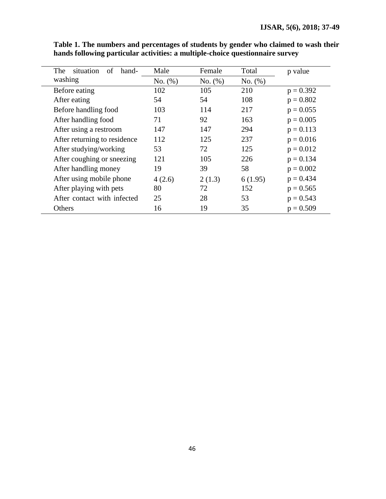| situation<br>The<br>of<br>hand- | Male    | Female  | Total   | p value     |
|---------------------------------|---------|---------|---------|-------------|
| washing                         | No. (%) | No. (%) | No. (%) |             |
| Before eating                   | 102     | 105     | 210     | $p = 0.392$ |
| After eating                    | 54      | 54      | 108     | $p = 0.802$ |
| Before handling food            | 103     | 114     | 217     | $p = 0.055$ |
| After handling food             | 71      | 92      | 163     | $p = 0.005$ |
| After using a restroom          | 147     | 147     | 294     | $p = 0.113$ |
| After returning to residence    | 112     | 125     | 237     | $p = 0.016$ |
| After studying/working          | 53      | 72      | 125     | $p = 0.012$ |
| After coughing or sneezing      | 121     | 105     | 226     | $p = 0.134$ |
| After handling money            | 19      | 39      | 58      | $p = 0.002$ |
| After using mobile phone        | 4(2.6)  | 2(1.3)  | 6(1.95) | $p = 0.434$ |
| After playing with pets         | 80      | 72      | 152     | $p = 0.565$ |
| After contact with infected     | 25      | 28      | 53      | $p = 0.543$ |
| Others                          | 16      | 19      | 35      | $p = 0.509$ |

**Table 1. The numbers and percentages of students by gender who claimed to wash their hands following particular activities: a multiple-choice questionnaire survey**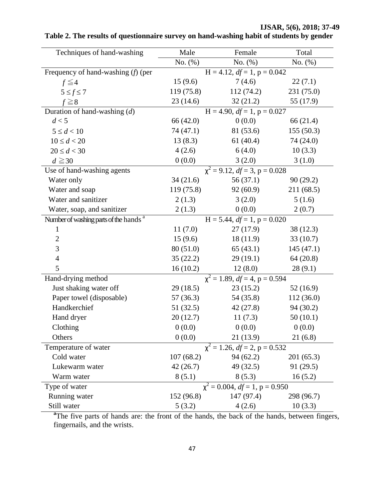| Techniques of hand-washing                        | Male                                     | Female                                     | Total      |
|---------------------------------------------------|------------------------------------------|--------------------------------------------|------------|
|                                                   | $No. (\%)$                               | No. $(\%)$                                 | No. (%)    |
| Frequency of hand-washing $(f)$ (per              |                                          | $H = 4.12$ , $df = 1$ , $p = 0.042$        |            |
| $f \leq 4$                                        | 15(9.6)                                  | 7(4.6)                                     | 22(7.1)    |
| $5 \leq f \leq 7$                                 | 119(75.8)                                | 112(74.2)                                  | 231 (75.0) |
| $f \geq 8$                                        | 23(14.6)                                 | 32(21.2)                                   | 55 (17.9)  |
| Duration of hand-washing $(d)$                    |                                          | $\overline{H}$ = 4.90, $df$ = 1, p = 0.027 |            |
| d < 5                                             | 66 (42.0)                                | 0(0.0)                                     | 66 (21.4)  |
| $5 \le d < 10$                                    | 74 (47.1)                                | 81 (53.6)                                  | 155(50.3)  |
| $10 \le d < 20$                                   | 13(8.3)                                  | 61 $(40.4)$                                | 74 (24.0)  |
| $20 \le d < 30$                                   | 4(2.6)                                   | 6(4.0)                                     | 10(3.3)    |
| $d \geq 30$                                       | 0(0.0)                                   | 3(2.0)                                     | 3(1.0)     |
| Use of hand-washing agents                        | $\chi^2$ = 9.12, $df$ = 3, p = 0.028     |                                            |            |
| Water only                                        | 34(21.6)                                 | 56 (37.1)                                  | 90(29.2)   |
| Water and soap                                    | 119 (75.8)                               | 92(60.9)                                   | 211 (68.5) |
| Water and sanitizer                               | 2(1.3)                                   | 3(2.0)                                     | 5(1.6)     |
| Water, soap, and sanitizer                        | 2(1.3)                                   | 0(0.0)                                     | 2(0.7)     |
| Number of washing parts of the hands <sup>a</sup> |                                          | $\overline{H}$ = 5.44, $df$ = 1, p = 0.020 |            |
| $\mathbf{1}$                                      | 11(7.0)                                  | 27(17.9)                                   | 38 (12.3)  |
| $\overline{2}$                                    | 15(9.6)                                  | 18(11.9)                                   | 33(10.7)   |
| 3                                                 | 80 (51.0)                                | 65(43.1)                                   | 145(47.1)  |
| $\overline{4}$                                    | 35(22.2)                                 | 29(19.1)                                   | 64(20.8)   |
| 5                                                 | 16(10.2)                                 | 12(8.0)                                    | 28(9.1)    |
| Hand-drying method                                | $\chi^2 = 1.89$ , $df = 4$ , p = 0.594   |                                            |            |
| Just shaking water off                            | 29(18.5)                                 | 23(15.2)                                   | 52(16.9)   |
| Paper towel (disposable)                          | 57(36.3)                                 | 54 (35.8)                                  | 112(36.0)  |
| Handkerchief                                      | 51 (32.5)                                | 42(27.8)                                   | 94(30.2)   |
| Hand dryer                                        | 20(12.7)                                 | 11(7.3)                                    | 50(10.1)   |
| Clothing                                          | 0(0.0)                                   | 0(0.0)                                     | 0(0.0)     |
| Others                                            | 0(0.0)                                   | 21(13.9)                                   | 21(6.8)    |
| Temperature of water                              | $\chi^2 = 1.26$ , $df = 2$ , $p = 0.532$ |                                            |            |
| Cold water                                        | 107(68.2)                                | 94(62.2)                                   | 201(65.3)  |
| Lukewarm water                                    | 42(26.7)                                 | 49 (32.5)                                  | 91 (29.5)  |
| Warm water                                        | 8(5.1)                                   | 8(5.3)                                     | 16(5.2)    |
| Type of water                                     |                                          | $\chi^2$ = 0.004, df = 1, p = 0.950        |            |
| Running water                                     | 152 (96.8)                               | 147(97.4)                                  | 298 (96.7) |
| Still water                                       | 5(3.2)                                   | 4(2.6)                                     | 10(3.3)    |

## **Table 2. The results of questionnaire survey on hand-washing habit of students by gender**

<sup>a</sup>The five parts of hands are: the front of the hands, the back of the hands, between fingers, fingernails, and the wrists.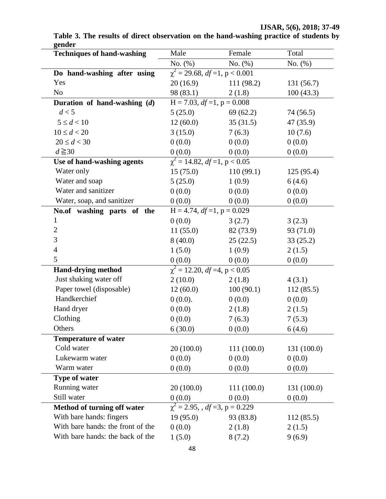| No. $(\%)$<br>No. (%)<br>No. $(\%)$<br>$\chi^2$ = 29.68, df = 1, p < 0.001<br>20(16.9)<br>111 (98.2)<br>131 (56.7)<br>98 (83.1)<br>100(43.3)<br>2(1.8)<br>$H = 7.03, df = 1, p = 0.008$<br>d < 5<br>5(25.0)<br>69(62.2)<br>74 (56.5)<br>$5 \le d < 10$<br>12(60.0)<br>35(31.5)<br>47 (35.9)<br>3(15.0)<br>7(6.3)<br>10(7.6)<br>$20 \le d < 30$<br>0(0.0)<br>0(0.0)<br>0(0.0)<br>$d \geq 30$<br>0(0.0)<br>0(0.0)<br>0(0.0)<br>$\chi^2$ = 14.82, df = 1, p < 0.05<br>Water only<br>15(75.0)<br>110(99.1)<br>125(95.4)<br>Water and soap<br>1(0.9)<br>5(25.0)<br>6(4.6)<br>Water and sanitizer<br>0(0.0)<br>0(0.0)<br>0(0.0)<br>Water, soap, and sanitizer<br>0(0.0)<br>0(0.0)<br>0(0.0)<br>$H = 4.74$ , $df = 1$ , $p = 0.029$<br>0(0.0)<br>3(2.7)<br>3(2.3)<br>93 (71.0)<br>11(55.0)<br>82 (73.9)<br>8(40.0)<br>25(22.5)<br>33(25.2)<br>1(5.0)<br>1(0.9)<br>2(1.5)<br>0(0.0)<br>0(0.0)<br>0(0.0)<br>$\chi^2$ = 12.20, df =4, p < 0.05<br>Just shaking water off<br>2(10.0)<br>2(1.8)<br>4(3.1)<br>Paper towel (disposable)<br>12(60.0)<br>100(90.1)<br>112(85.5)<br>Handkerchief<br>0(0.0).<br>0(0.0)<br>0(0.0)<br>0(0.0)<br>2(1.8)<br>2(1.5)<br>0(0.0)<br>7(6.3)<br>7(5.3)<br>6(30.0)<br>0(0.0)<br>6(4.6)<br>Cold water<br>20(100.0)<br>111(100.0)<br>131 (100.0)<br>Lukewarm water<br>0(0.0)<br>0(0.0)<br>0(0.0)<br>Warm water<br>0(0.0)<br>0(0.0)<br>0(0.0)<br>20(100.0)<br>111(100.0)<br>131 (100.0)<br>0(0.0)<br>0(0.0)<br>0(0.0)<br>$\chi^2$ = 2.95, , df = 3, p = 0.229<br>19(95.0)<br>93 (83.8)<br>112 (85.5)<br>0(0.0)<br>2(1.8)<br>2(1.5)<br>1(5.0)<br>9(6.9)<br>8(7.2) | <b>Techniques of hand-washing</b> | Male | Female | Total |
|----------------------------------------------------------------------------------------------------------------------------------------------------------------------------------------------------------------------------------------------------------------------------------------------------------------------------------------------------------------------------------------------------------------------------------------------------------------------------------------------------------------------------------------------------------------------------------------------------------------------------------------------------------------------------------------------------------------------------------------------------------------------------------------------------------------------------------------------------------------------------------------------------------------------------------------------------------------------------------------------------------------------------------------------------------------------------------------------------------------------------------------------------------------------------------------------------------------------------------------------------------------------------------------------------------------------------------------------------------------------------------------------------------------------------------------------------------------------------------------------------------------------------------------------------------------------------------|-----------------------------------|------|--------|-------|
|                                                                                                                                                                                                                                                                                                                                                                                                                                                                                                                                                                                                                                                                                                                                                                                                                                                                                                                                                                                                                                                                                                                                                                                                                                                                                                                                                                                                                                                                                                                                                                                  |                                   |      |        |       |
|                                                                                                                                                                                                                                                                                                                                                                                                                                                                                                                                                                                                                                                                                                                                                                                                                                                                                                                                                                                                                                                                                                                                                                                                                                                                                                                                                                                                                                                                                                                                                                                  | Do hand-washing after using       |      |        |       |
|                                                                                                                                                                                                                                                                                                                                                                                                                                                                                                                                                                                                                                                                                                                                                                                                                                                                                                                                                                                                                                                                                                                                                                                                                                                                                                                                                                                                                                                                                                                                                                                  | Yes                               |      |        |       |
|                                                                                                                                                                                                                                                                                                                                                                                                                                                                                                                                                                                                                                                                                                                                                                                                                                                                                                                                                                                                                                                                                                                                                                                                                                                                                                                                                                                                                                                                                                                                                                                  | No                                |      |        |       |
|                                                                                                                                                                                                                                                                                                                                                                                                                                                                                                                                                                                                                                                                                                                                                                                                                                                                                                                                                                                                                                                                                                                                                                                                                                                                                                                                                                                                                                                                                                                                                                                  | Duration of hand-washing (d)      |      |        |       |
|                                                                                                                                                                                                                                                                                                                                                                                                                                                                                                                                                                                                                                                                                                                                                                                                                                                                                                                                                                                                                                                                                                                                                                                                                                                                                                                                                                                                                                                                                                                                                                                  |                                   |      |        |       |
|                                                                                                                                                                                                                                                                                                                                                                                                                                                                                                                                                                                                                                                                                                                                                                                                                                                                                                                                                                                                                                                                                                                                                                                                                                                                                                                                                                                                                                                                                                                                                                                  |                                   |      |        |       |
|                                                                                                                                                                                                                                                                                                                                                                                                                                                                                                                                                                                                                                                                                                                                                                                                                                                                                                                                                                                                                                                                                                                                                                                                                                                                                                                                                                                                                                                                                                                                                                                  | $10 \le d < 20$                   |      |        |       |
|                                                                                                                                                                                                                                                                                                                                                                                                                                                                                                                                                                                                                                                                                                                                                                                                                                                                                                                                                                                                                                                                                                                                                                                                                                                                                                                                                                                                                                                                                                                                                                                  |                                   |      |        |       |
|                                                                                                                                                                                                                                                                                                                                                                                                                                                                                                                                                                                                                                                                                                                                                                                                                                                                                                                                                                                                                                                                                                                                                                                                                                                                                                                                                                                                                                                                                                                                                                                  |                                   |      |        |       |
|                                                                                                                                                                                                                                                                                                                                                                                                                                                                                                                                                                                                                                                                                                                                                                                                                                                                                                                                                                                                                                                                                                                                                                                                                                                                                                                                                                                                                                                                                                                                                                                  | Use of hand-washing agents        |      |        |       |
|                                                                                                                                                                                                                                                                                                                                                                                                                                                                                                                                                                                                                                                                                                                                                                                                                                                                                                                                                                                                                                                                                                                                                                                                                                                                                                                                                                                                                                                                                                                                                                                  |                                   |      |        |       |
|                                                                                                                                                                                                                                                                                                                                                                                                                                                                                                                                                                                                                                                                                                                                                                                                                                                                                                                                                                                                                                                                                                                                                                                                                                                                                                                                                                                                                                                                                                                                                                                  |                                   |      |        |       |
|                                                                                                                                                                                                                                                                                                                                                                                                                                                                                                                                                                                                                                                                                                                                                                                                                                                                                                                                                                                                                                                                                                                                                                                                                                                                                                                                                                                                                                                                                                                                                                                  |                                   |      |        |       |
|                                                                                                                                                                                                                                                                                                                                                                                                                                                                                                                                                                                                                                                                                                                                                                                                                                                                                                                                                                                                                                                                                                                                                                                                                                                                                                                                                                                                                                                                                                                                                                                  |                                   |      |        |       |
|                                                                                                                                                                                                                                                                                                                                                                                                                                                                                                                                                                                                                                                                                                                                                                                                                                                                                                                                                                                                                                                                                                                                                                                                                                                                                                                                                                                                                                                                                                                                                                                  | No.of washing parts of the        |      |        |       |
|                                                                                                                                                                                                                                                                                                                                                                                                                                                                                                                                                                                                                                                                                                                                                                                                                                                                                                                                                                                                                                                                                                                                                                                                                                                                                                                                                                                                                                                                                                                                                                                  | $\mathbf{1}$                      |      |        |       |
|                                                                                                                                                                                                                                                                                                                                                                                                                                                                                                                                                                                                                                                                                                                                                                                                                                                                                                                                                                                                                                                                                                                                                                                                                                                                                                                                                                                                                                                                                                                                                                                  | $\overline{c}$                    |      |        |       |
|                                                                                                                                                                                                                                                                                                                                                                                                                                                                                                                                                                                                                                                                                                                                                                                                                                                                                                                                                                                                                                                                                                                                                                                                                                                                                                                                                                                                                                                                                                                                                                                  | 3                                 |      |        |       |
|                                                                                                                                                                                                                                                                                                                                                                                                                                                                                                                                                                                                                                                                                                                                                                                                                                                                                                                                                                                                                                                                                                                                                                                                                                                                                                                                                                                                                                                                                                                                                                                  | $\overline{4}$                    |      |        |       |
|                                                                                                                                                                                                                                                                                                                                                                                                                                                                                                                                                                                                                                                                                                                                                                                                                                                                                                                                                                                                                                                                                                                                                                                                                                                                                                                                                                                                                                                                                                                                                                                  | 5                                 |      |        |       |
|                                                                                                                                                                                                                                                                                                                                                                                                                                                                                                                                                                                                                                                                                                                                                                                                                                                                                                                                                                                                                                                                                                                                                                                                                                                                                                                                                                                                                                                                                                                                                                                  | <b>Hand-drying method</b>         |      |        |       |
|                                                                                                                                                                                                                                                                                                                                                                                                                                                                                                                                                                                                                                                                                                                                                                                                                                                                                                                                                                                                                                                                                                                                                                                                                                                                                                                                                                                                                                                                                                                                                                                  |                                   |      |        |       |
|                                                                                                                                                                                                                                                                                                                                                                                                                                                                                                                                                                                                                                                                                                                                                                                                                                                                                                                                                                                                                                                                                                                                                                                                                                                                                                                                                                                                                                                                                                                                                                                  |                                   |      |        |       |
|                                                                                                                                                                                                                                                                                                                                                                                                                                                                                                                                                                                                                                                                                                                                                                                                                                                                                                                                                                                                                                                                                                                                                                                                                                                                                                                                                                                                                                                                                                                                                                                  |                                   |      |        |       |
|                                                                                                                                                                                                                                                                                                                                                                                                                                                                                                                                                                                                                                                                                                                                                                                                                                                                                                                                                                                                                                                                                                                                                                                                                                                                                                                                                                                                                                                                                                                                                                                  | Hand dryer                        |      |        |       |
|                                                                                                                                                                                                                                                                                                                                                                                                                                                                                                                                                                                                                                                                                                                                                                                                                                                                                                                                                                                                                                                                                                                                                                                                                                                                                                                                                                                                                                                                                                                                                                                  | Clothing                          |      |        |       |
|                                                                                                                                                                                                                                                                                                                                                                                                                                                                                                                                                                                                                                                                                                                                                                                                                                                                                                                                                                                                                                                                                                                                                                                                                                                                                                                                                                                                                                                                                                                                                                                  | Others                            |      |        |       |
|                                                                                                                                                                                                                                                                                                                                                                                                                                                                                                                                                                                                                                                                                                                                                                                                                                                                                                                                                                                                                                                                                                                                                                                                                                                                                                                                                                                                                                                                                                                                                                                  | <b>Temperature of water</b>       |      |        |       |
|                                                                                                                                                                                                                                                                                                                                                                                                                                                                                                                                                                                                                                                                                                                                                                                                                                                                                                                                                                                                                                                                                                                                                                                                                                                                                                                                                                                                                                                                                                                                                                                  |                                   |      |        |       |
|                                                                                                                                                                                                                                                                                                                                                                                                                                                                                                                                                                                                                                                                                                                                                                                                                                                                                                                                                                                                                                                                                                                                                                                                                                                                                                                                                                                                                                                                                                                                                                                  |                                   |      |        |       |
|                                                                                                                                                                                                                                                                                                                                                                                                                                                                                                                                                                                                                                                                                                                                                                                                                                                                                                                                                                                                                                                                                                                                                                                                                                                                                                                                                                                                                                                                                                                                                                                  |                                   |      |        |       |
|                                                                                                                                                                                                                                                                                                                                                                                                                                                                                                                                                                                                                                                                                                                                                                                                                                                                                                                                                                                                                                                                                                                                                                                                                                                                                                                                                                                                                                                                                                                                                                                  | Type of water                     |      |        |       |
|                                                                                                                                                                                                                                                                                                                                                                                                                                                                                                                                                                                                                                                                                                                                                                                                                                                                                                                                                                                                                                                                                                                                                                                                                                                                                                                                                                                                                                                                                                                                                                                  | Running water                     |      |        |       |
|                                                                                                                                                                                                                                                                                                                                                                                                                                                                                                                                                                                                                                                                                                                                                                                                                                                                                                                                                                                                                                                                                                                                                                                                                                                                                                                                                                                                                                                                                                                                                                                  | Still water                       |      |        |       |
|                                                                                                                                                                                                                                                                                                                                                                                                                                                                                                                                                                                                                                                                                                                                                                                                                                                                                                                                                                                                                                                                                                                                                                                                                                                                                                                                                                                                                                                                                                                                                                                  | Method of turning off water       |      |        |       |
|                                                                                                                                                                                                                                                                                                                                                                                                                                                                                                                                                                                                                                                                                                                                                                                                                                                                                                                                                                                                                                                                                                                                                                                                                                                                                                                                                                                                                                                                                                                                                                                  | With bare hands: fingers          |      |        |       |
|                                                                                                                                                                                                                                                                                                                                                                                                                                                                                                                                                                                                                                                                                                                                                                                                                                                                                                                                                                                                                                                                                                                                                                                                                                                                                                                                                                                                                                                                                                                                                                                  | With bare hands: the front of the |      |        |       |
|                                                                                                                                                                                                                                                                                                                                                                                                                                                                                                                                                                                                                                                                                                                                                                                                                                                                                                                                                                                                                                                                                                                                                                                                                                                                                                                                                                                                                                                                                                                                                                                  | With bare hands: the back of the  |      |        |       |

**Table 3. The results of direct observation on the hand-washing practice of students by gender**